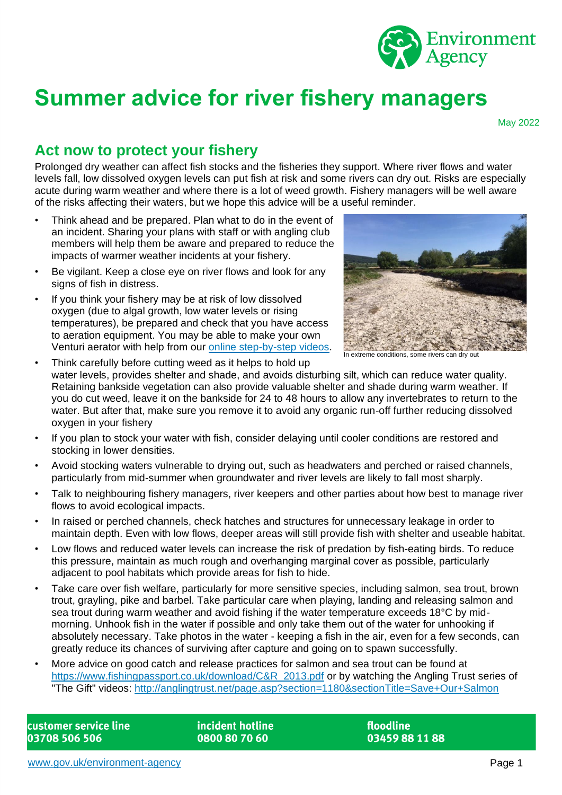

# **Summer advice for river fishery managers**

May 2022

# **Act now to protect your fishery**

Prolonged dry weather can affect fish stocks and the fisheries they support. Where river flows and water levels fall, low dissolved oxygen levels can put fish at risk and some rivers can dry out. Risks are especially acute during warm weather and where there is a lot of weed growth. Fishery managers will be well aware of the risks affecting their waters, but we hope this advice will be a useful reminder.

- Think ahead and be prepared. Plan what to do in the event of an incident. Sharing your plans with staff or with angling club members will help them be aware and prepared to reduce the impacts of warmer weather incidents at your fishery.
- Be vigilant. Keep a close eye on river flows and look for any signs of fish in distress.
- If you think your fishery may be at risk of low dissolved oxygen (due to algal growth, low water levels or rising temperatures), be prepared and check that you have access to aeration equipment. You may be able to make your own Venturi aerator with help from our [online step-by-step videos.](https://www.youtube.com/watch?v=IZyrL5Ojqpo)



In extreme conditions, some rivers can dry out

• Think carefully before cutting weed as it helps to hold up water levels, provides shelter and shade, and avoids disturbing silt, which can reduce water quality. Retaining bankside vegetation can also provide valuable shelter and shade during warm weather. If you do cut weed, leave it on the bankside for 24 to 48 hours to allow any invertebrates to return to the water. But after that, make sure you remove it to avoid any organic run-off further reducing dissolved oxygen in your fishery

- If you plan to stock your water with fish, consider delaying until cooler conditions are restored and stocking in lower densities.
- Avoid stocking waters vulnerable to drying out, such as headwaters and perched or raised channels, particularly from mid-summer when groundwater and river levels are likely to fall most sharply.
- Talk to neighbouring fishery managers, river keepers and other parties about how best to manage river flows to avoid ecological impacts.
- In raised or perched channels, check hatches and structures for unnecessary leakage in order to maintain depth. Even with low flows, deeper areas will still provide fish with shelter and useable habitat.
- Low flows and reduced water levels can increase the risk of predation by fish-eating birds. To reduce this pressure, maintain as much rough and overhanging marginal cover as possible, particularly adjacent to pool habitats which provide areas for fish to hide.
- Take care over fish welfare, particularly for more sensitive species, including salmon, sea trout, brown trout, grayling, pike and barbel. Take particular care when playing, landing and releasing salmon and sea trout during warm weather and avoid fishing if the water temperature exceeds 18°C by midmorning. Unhook fish in the water if possible and only take them out of the water for unhooking if absolutely necessary. Take photos in the water - keeping a fish in the air, even for a few seconds, can greatly reduce its chances of surviving after capture and going on to spawn successfully.
- More advice on good catch and release practices for salmon and sea trout can be found at [https://www.fishingpassport.co.uk/download/C&R\\_2013.pdf](https://www.fishingpassport.co.uk/download/C&R_2013.pdf) or by watching the Angling Trust series of The Gift" videos: [http://anglingtrust.net/page.asp?section=1180&sectionTitle=Save+Our+Salmon](http://anglingtrust.net/page.asp?section=1180§ionTitle=Save+Our+Salmon)

customer service line 03708 506 506

incident hotline 0800 80 70 60

floodline 03459 88 11 88